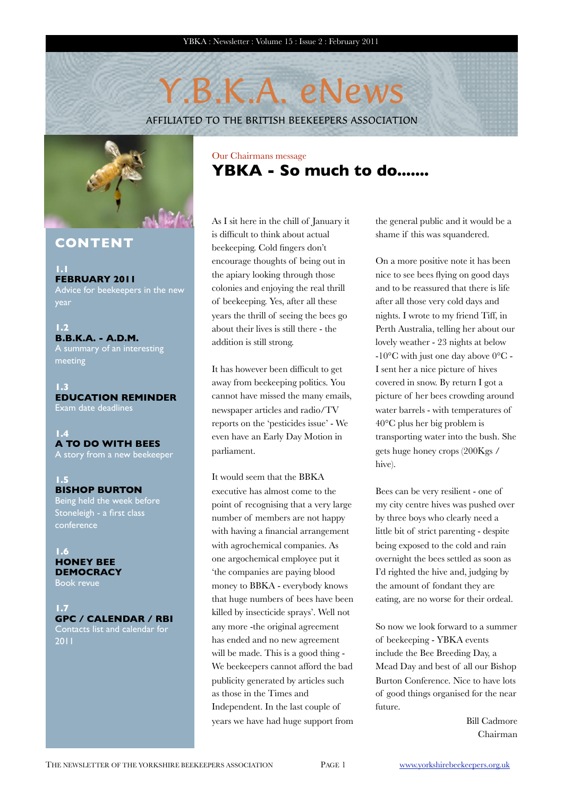### Y.B.K.A. eNews

AFFILIATED TO THE BRITISH BEEKEEPERS ASSOCIATION



#### **CONTENT**

**1.1 FEBRUARY 2011** Advice for beekeepers in the new year

**1.2 B.B.K.A. - A.D.M.** A summary of an interesting meeting

**1.3 EDUCATION REMINDER** Exam date deadlines

**1.4 A TO DO WITH BEES** A story from a new beekeeper

**1.5 BISHOP BURTON** Being held the week before Stoneleigh - a first class conference

**1.6 HONEY BEE DEMOCRACY** Book revue

**1.7 GPC / CALENDAR / RBI** Contacts list and calendar for 2011

Our Chairmans message **YBKA - So much to do.......**

As I sit here in the chill of January it is difficult to think about actual beekeeping. Cold fingers don't encourage thoughts of being out in the apiary looking through those colonies and enjoying the real thrill of beekeeping. Yes, after all these years the thrill of seeing the bees go about their lives is still there - the addition is still strong.

It has however been difficult to get away from beekeeping politics. You cannot have missed the many emails, newspaper articles and radio/TV reports on the 'pesticides issue' - We even have an Early Day Motion in parliament.

It would seem that the BBKA executive has almost come to the point of recognising that a very large number of members are not happy with having a financial arrangement with agrochemical companies. As one argochemical employee put it 'the companies are paying blood money to BBKA - everybody knows that huge numbers of bees have been killed by insecticide sprays'. Well not any more -the original agreement has ended and no new agreement will be made. This is a good thing - We beekeepers cannot afford the bad publicity generated by articles such as those in the Times and Independent. In the last couple of years we have had huge support from

the general public and it would be a shame if this was squandered.

On a more positive note it has been nice to see bees flying on good days and to be reassured that there is life after all those very cold days and nights. I wrote to my friend Tiff, in Perth Australia, telling her about our lovely weather - 23 nights at below -10°C with just one day above 0°C - I sent her a nice picture of hives covered in snow. By return I got a picture of her bees crowding around water barrels - with temperatures of 40°C plus her big problem is transporting water into the bush. She gets huge honey crops (200Kgs / hive).

Bees can be very resilient - one of my city centre hives was pushed over by three boys who clearly need a little bit of strict parenting - despite being exposed to the cold and rain overnight the bees settled as soon as I'd righted the hive and, judging by the amount of fondant they are eating, are no worse for their ordeal.

So now we look forward to a summer of beekeeping - YBKA events include the Bee Breeding Day, a Mead Day and best of all our Bishop Burton Conference. Nice to have lots of good things organised for the near future.

> Bill Cadmore Chairman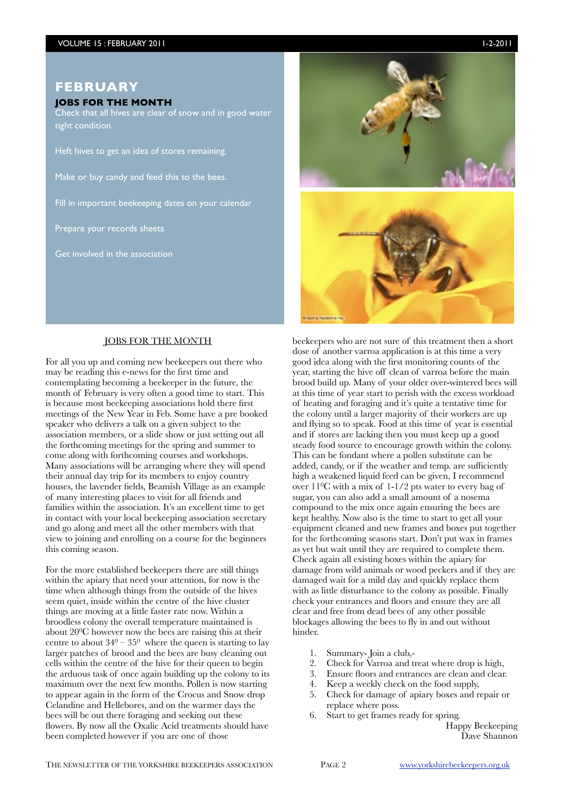#### **FEBRUARY**

#### **JOBS FOR THE MONTH**

Check that all hives are clear of snow and in good water tight condition.

Heft hives to get an idea of stores remaining.

Make or buy candy and feed this to the bees.

Fill in important beekeeping dates on your calendar

Prepare your records sheets

Get involved in the association

#### JOBS FOR THE MONTH

For all you up and coming new beekeepers out there who may be reading this e-news for the first time and contemplating becoming a beekeeper in the future, the month of February is very often a good time to start. This is because most beekeeping associations hold there first meetings of the New Year in Feb. Some have a pre booked speaker who delivers a talk on a given subject to the association members, or a slide show or just setting out all the forthcoming meetings for the spring and summer to come along with forthcoming courses and workshops. Many associations will be arranging where they will spend their annual day trip for its members to enjoy country houses, the lavender fields, Beamish Village as an example of many interesting places to visit for all friends and families within the association. It's an excellent time to get in contact with your local beekeeping association secretary and go along and meet all the other members with that view to joining and enrolling on a course for the beginners this coming season.

For the more established beekeepers there are still things within the apiary that need your attention, for now is the time when although things from the outside of the hives seem quiet, inside within the centre of the hive cluster things are moving at a little faster rate now. Within a broodless colony the overall temperature maintained is about 200C however now the bees are raising this at their centre to about  $34^0 - 35^0$  where the queen is starting to lay larger patches of brood and the bees are busy cleaning out cells within the centre of the hive for their queen to begin the arduous task of once again building up the colony to its maximum over the next few months. Pollen is now starting to appear again in the form of the Crocus and Snow drop Celandine and Hellebores, and on the warmer days the bees will be out there foraging and seeking out these flowers. By now all the Oxalic Acid treatments should have been completed however if you are one of those



beekeepers who are not sure of this treatment then a short dose of another varroa application is at this time a very good idea along with the first monitoring counts of the year, starting the hive off clean of varroa before the main brood build up. Many of your older over-wintered bees will at this time of year start to perish with the excess workload of heating and foraging and it's quite a tentative time for the colony until a larger majority of their workers are up and flying so to speak. Food at this time of year is essential and if stores are lacking then you must keep up a good steady food source to encourage growth within the colony. This can be fondant where a pollen substitute can be added, candy, or if the weather and temp. are sufficiently high a weakened liquid feed can be given, I recommend over  $11^{\circ}$ C with a mix of 1-1/2 pts water to every bag of sugar, you can also add a small amount of a nosema compound to the mix once again ensuring the bees are kept healthy. Now also is the time to start to get all your equipment cleaned and new frames and boxes put together for the forthcoming seasons start. Don't put wax in frames as yet but wait until they are required to complete them. Check again all existing boxes within the apiary for damage from wild animals or wood peckers and if they are damaged wait for a mild day and quickly replace them with as little disturbance to the colony as possible. Finally check your entrances and floors and ensure they are all clear and free from dead bees of any other possible blockages allowing the bees to fly in and out without hinder.

- 1. Summary- Join a club,-
- 2. Check for Varroa and treat where drop is high,
- 3. Ensure floors and entrances are clean and clear.<br>4. Keep a weekly check on the food sunnly.
- Keep a weekly check on the food supply,
- 5. Check for damage of apiary boxes and repair or replace where poss.
- 6. Start to get frames ready for spring.

Happy Beekeeping Dave Shannon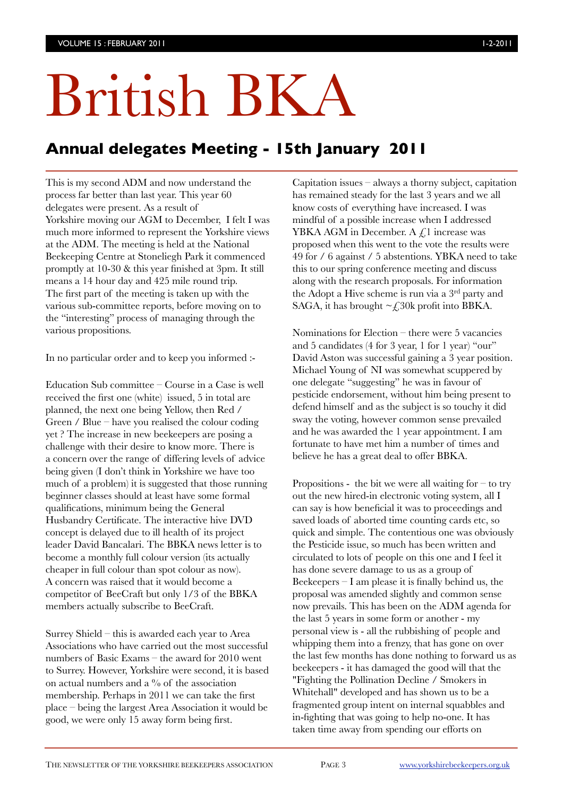# British BKA

#### **Annual delegates Meeting - 15th January 2011**

This is my second ADM and now understand the process far better than last year. This year 60 delegates were present. As a result of Yorkshire moving our AGM to December, I felt I was much more informed to represent the Yorkshire views at the ADM. The meeting is held at the National Beekeeping Centre at Stoneliegh Park it commenced promptly at 10-30 & this year finished at 3pm. It still means a 14 hour day and 425 mile round trip. The first part of the meeting is taken up with the various sub-committee reports, before moving on to the "interesting" process of managing through the various propositions.

In no particular order and to keep you informed :-

Education Sub committee – Course in a Case is well received the first one (white) issued, 5 in total are planned, the next one being Yellow, then Red / Green / Blue – have you realised the colour coding yet ? The increase in new beekeepers are posing a challenge with their desire to know more. There is a concern over the range of differing levels of advice being given (I don't think in Yorkshire we have too much of a problem) it is suggested that those running beginner classes should at least have some formal qualifications, minimum being the General Husbandry Certificate. The interactive hive DVD concept is delayed due to ill health of its project leader David Bancalari. The BBKA news letter is to become a monthly full colour version (its actually cheaper in full colour than spot colour as now). A concern was raised that it would become a competitor of BeeCraft but only 1/3 of the BBKA members actually subscribe to BeeCraft.

Surrey Shield – this is awarded each year to Area Associations who have carried out the most successful numbers of Basic Exams – the award for 2010 went to Surrey. However, Yorkshire were second, it is based on actual numbers and a % of the association membership. Perhaps in 2011 we can take the first place – being the largest Area Association it would be good, we were only 15 away form being first.

Capitation issues – always a thorny subject, capitation has remained steady for the last 3 years and we all know costs of everything have increased. I was mindful of a possible increase when I addressed YBKA AGM in December. A  $\mathcal{L}$ 1 increase was proposed when this went to the vote the results were 49 for / 6 against / 5 abstentions. YBKA need to take this to our spring conference meeting and discuss along with the research proposals. For information the Adopt a Hive scheme is run via a 3rd party and SAGA, it has brought  $\sim$  £30k profit into BBKA.

Nominations for Election – there were 5 vacancies and 5 candidates (4 for 3 year, 1 for 1 year) "our" David Aston was successful gaining a 3 year position. Michael Young of NI was somewhat scuppered by one delegate "suggesting" he was in favour of pesticide endorsement, without him being present to defend himself and as the subject is so touchy it did sway the voting, however common sense prevailed and he was awarded the 1 year appointment. I am fortunate to have met him a number of times and believe he has a great deal to offer BBKA.

Propositions - the bit we were all waiting for  $-$  to try out the new hired-in electronic voting system, all I can say is how beneficial it was to proceedings and saved loads of aborted time counting cards etc, so quick and simple. The contentious one was obviously the Pesticide issue, so much has been written and circulated to lots of people on this one and I feel it has done severe damage to us as a group of Beekeepers  $-I$  am please it is finally behind us, the proposal was amended slightly and common sense now prevails. This has been on the ADM agenda for the last 5 years in some form or another - my personal view is - all the rubbishing of people and whipping them into a frenzy, that has gone on over the last few months has done nothing to forward us as beekeepers - it has damaged the good will that the "Fighting the Pollination Decline / Smokers in Whitehall" developed and has shown us to be a fragmented group intent on internal squabbles and in-fighting that was going to help no-one. It has taken time away from spending our efforts on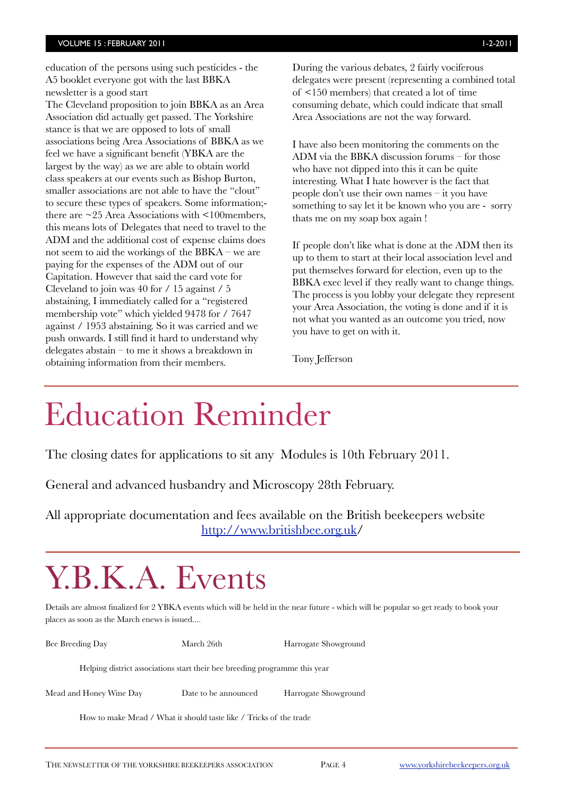education of the persons using such pesticides - the A5 booklet everyone got with the last BBKA newsletter is a good start

The Cleveland proposition to join BBKA as an Area Association did actually get passed. The Yorkshire stance is that we are opposed to lots of small associations being Area Associations of BBKA as we feel we have a significant benefit (YBKA are the largest by the way) as we are able to obtain world class speakers at our events such as Bishop Burton, smaller associations are not able to have the "clout" to secure these types of speakers. Some information; there are  $\sim$ 25 Area Associations with  $\leq$ 100members, this means lots of Delegates that need to travel to the ADM and the additional cost of expense claims does not seem to aid the workings of the BBKA – we are paying for the expenses of the ADM out of our Capitation. However that said the card vote for Cleveland to join was 40 for / 15 against / 5 abstaining, I immediately called for a "registered membership vote" which yielded 9478 for / 7647 against / 1953 abstaining. So it was carried and we push onwards. I still find it hard to understand why delegates abstain – to me it shows a breakdown in obtaining information from their members.

During the various debates, 2 fairly vociferous delegates were present (representing a combined total of <150 members) that created a lot of time consuming debate, which could indicate that small Area Associations are not the way forward.

I have also been monitoring the comments on the ADM via the BBKA discussion forums – for those who have not dipped into this it can be quite interesting. What I hate however is the fact that people don't use their own names – it you have something to say let it be known who you are - sorry thats me on my soap box again !

If people don't like what is done at the ADM then its up to them to start at their local association level and put themselves forward for election, even up to the BBKA exec level if they really want to change things. The process is you lobby your delegate they represent your Area Association, the voting is done and if it is not what you wanted as an outcome you tried, now you have to get on with it.

Tony Jefferson

## Education Reminder

The closing dates for applications to sit any Modules is 10th February 2011.

General and advanced husbandry and Microscopy 28th February.

All appropriate documentation and fees available on the British beekeepers website [http://www.britishbee.org.uk/](http://www.britishbee.org.uk)

# Y.B.K.A. Events

Details are almost finalized for 2 YBKA events which will be held in the near future - which will be popular so get ready to book your places as soon as the March enews is issued....

Bee Breeding Day **March 26th** Harrogate Showground

Helping district associations start their bee breeding programme this year

Mead and Honey Wine Day **Date to be announced** Harrogate Showground

How to make Mead / What it should taste like / Tricks of the trade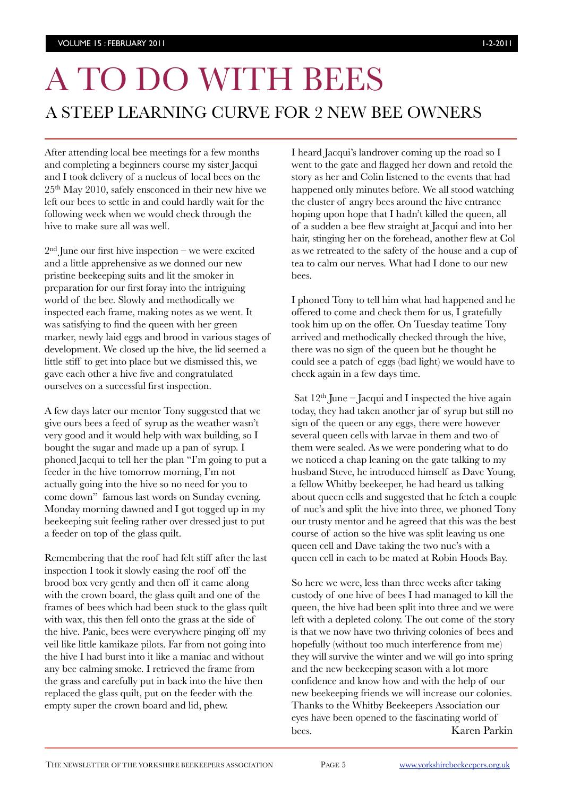### A TO DO WITH BEES A STEEP LEARNING CURVE FOR 2 NEW BEE OWNERS

After attending local bee meetings for a few months and completing a beginners course my sister Jacqui and I took delivery of a nucleus of local bees on the 25th May 2010, safely ensconced in their new hive we left our bees to settle in and could hardly wait for the following week when we would check through the hive to make sure all was well.

2nd June our first hive inspection – we were excited and a little apprehensive as we donned our new pristine beekeeping suits and lit the smoker in preparation for our first foray into the intriguing world of the bee. Slowly and methodically we inspected each frame, making notes as we went. It was satisfying to find the queen with her green marker, newly laid eggs and brood in various stages of development. We closed up the hive, the lid seemed a little stiff to get into place but we dismissed this, we gave each other a hive five and congratulated ourselves on a successful first inspection.

A few days later our mentor Tony suggested that we give ours bees a feed of syrup as the weather wasn't very good and it would help with wax building, so I bought the sugar and made up a pan of syrup. I phoned Jacqui to tell her the plan "I'm going to put a feeder in the hive tomorrow morning, I'm not actually going into the hive so no need for you to come down" famous last words on Sunday evening. Monday morning dawned and I got togged up in my beekeeping suit feeling rather over dressed just to put a feeder on top of the glass quilt.

Remembering that the roof had felt stiff after the last inspection I took it slowly easing the roof off the brood box very gently and then off it came along with the crown board, the glass quilt and one of the frames of bees which had been stuck to the glass quilt with wax, this then fell onto the grass at the side of the hive. Panic, bees were everywhere pinging off my veil like little kamikaze pilots. Far from not going into the hive I had burst into it like a maniac and without any bee calming smoke. I retrieved the frame from the grass and carefully put in back into the hive then replaced the glass quilt, put on the feeder with the empty super the crown board and lid, phew.

I heard Jacqui's landrover coming up the road so I went to the gate and flagged her down and retold the story as her and Colin listened to the events that had happened only minutes before. We all stood watching the cluster of angry bees around the hive entrance hoping upon hope that I hadn't killed the queen, all of a sudden a bee flew straight at Jacqui and into her hair, stinging her on the forehead, another flew at Col as we retreated to the safety of the house and a cup of tea to calm our nerves. What had I done to our new bees.

I phoned Tony to tell him what had happened and he offered to come and check them for us, I gratefully took him up on the offer. On Tuesday teatime Tony arrived and methodically checked through the hive, there was no sign of the queen but he thought he could see a patch of eggs (bad light) we would have to check again in a few days time.

Sat  $12<sup>th</sup>$  June – Jacqui and I inspected the hive again today, they had taken another jar of syrup but still no sign of the queen or any eggs, there were however several queen cells with larvae in them and two of them were sealed. As we were pondering what to do we noticed a chap leaning on the gate talking to my husband Steve, he introduced himself as Dave Young, a fellow Whitby beekeeper, he had heard us talking about queen cells and suggested that he fetch a couple of nuc's and split the hive into three, we phoned Tony our trusty mentor and he agreed that this was the best course of action so the hive was split leaving us one queen cell and Dave taking the two nuc's with a queen cell in each to be mated at Robin Hoods Bay.

So here we were, less than three weeks after taking custody of one hive of bees I had managed to kill the queen, the hive had been split into three and we were left with a depleted colony. The out come of the story is that we now have two thriving colonies of bees and hopefully (without too much interference from me) they will survive the winter and we will go into spring and the new beekeeping season with a lot more confidence and know how and with the help of our new beekeeping friends we will increase our colonies. Thanks to the Whitby Beekeepers Association our eyes have been opened to the fascinating world of bees. Karen Parkin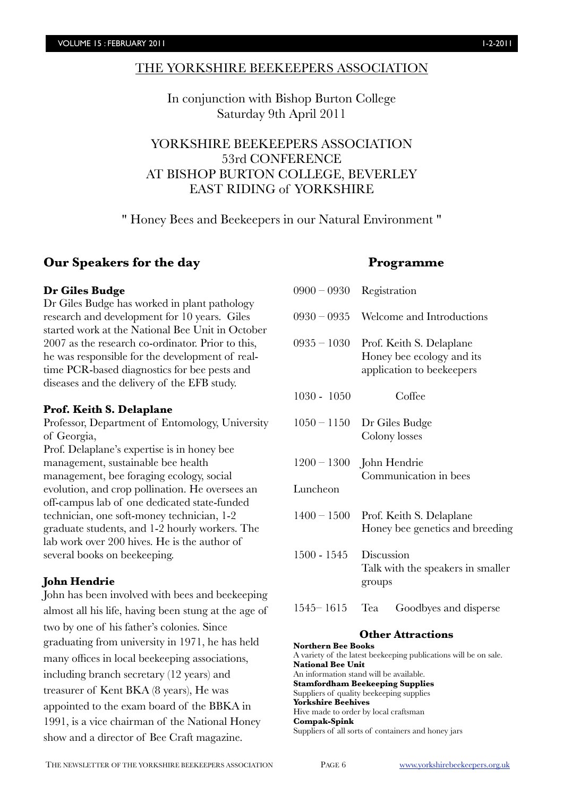#### THE YORKSHIRE BEEKEEPERS ASSOCIATION

In conjunction with Bishop Burton College Saturday 9th April 2011

YORKSHIRE BEEKEEPERS ASSOCIATION 53rd CONFERENCE AT BISHOP BURTON COLLEGE, BEVERLEY EAST RIDING of YORKSHIRE

" Honey Bees and Beekeepers in our Natural Environment "

#### **Our Speakers for the day**

#### **Dr Giles Budge**

Dr Giles Budge has worked in plant pathology research and development for 10 years. Giles started work at the National Bee Unit in October 2007 as the research co-ordinator. Prior to this, he was responsible for the development of realtime PCR-based diagnostics for bee pests and diseases and the delivery of the EFB study.

#### **Prof. Keith S. Delaplane**

Professor, Department of Entomology, University of Georgia,

Prof. Delaplane's expertise is in honey bee management, sustainable bee health management, bee foraging ecology, social evolution, and crop pollination. He oversees an off-campus lab of one dedicated state-funded technician, one soft-money technician, 1-2 graduate students, and 1-2 hourly workers. The lab work over 200 hives. He is the author of several books on beekeeping.

#### **John Hendrie**

John has been involved with bees and beekeeping almost all his life, having been stung at the age of two by one of his father's colonies. Since graduating from university in 1971, he has held many offices in local beekeeping associations, including branch secretary (12 years) and treasurer of Kent BKA (8 years), He was appointed to the exam board of the BBKA in 1991, is a vice chairman of the National Honey show and a director of Bee Craft magazine.

#### **Programme**

| $0900 - 0930$ | Registration                                                                       |
|---------------|------------------------------------------------------------------------------------|
| $0930 - 0935$ | Welcome and Introductions                                                          |
| $0935 - 1030$ | Prof. Keith S. Delaplane<br>Honey bee ecology and its<br>application to beekeepers |
| $1030 - 1050$ | Coffee                                                                             |
| $1050 - 1150$ | Dr Giles Budge<br>Colony losses                                                    |
|               | $1200 - 1300$ John Hendrie<br>Communication in bees                                |
| Luncheon      |                                                                                    |
| $1400 - 1500$ | Prof. Keith S. Delaplane<br>Honey bee genetics and breeding                        |
| 1500 - 1545   | Discussion<br>Talk with the speakers in smaller<br>groups                          |
| $1545 - 1615$ | Goodbyes and disperse<br>Tea                                                       |
|               |                                                                                    |

#### **Other Attractions**

**Northern Bee Books** A variety of the latest beekeeping publications will be on sale. **National Bee Unit**  An information stand will be available. **Stamfordham Beekeeping Supplies** Suppliers of quality beekeeping supplies **Yorkshire Beehives** Hive made to order by local craftsman **Compak-Spink** Suppliers of all sorts of containers and honey jars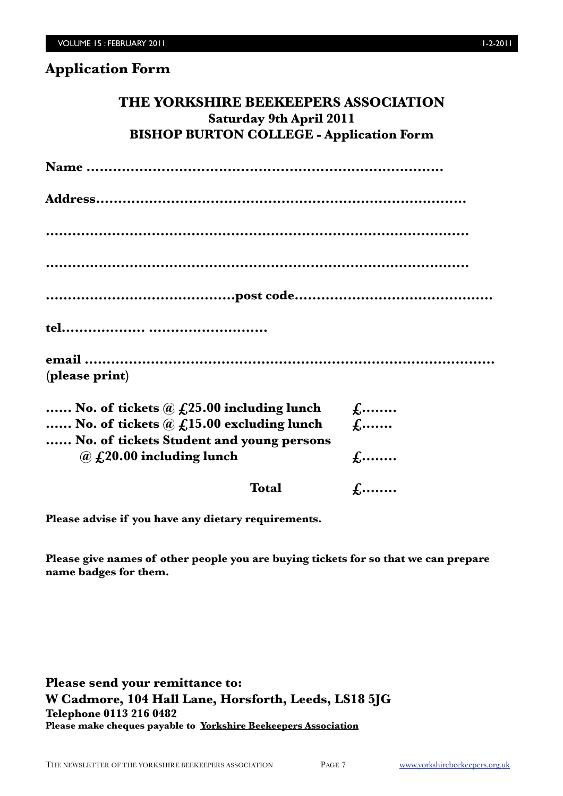| THE YORKSHIRE BEEKEEPERS ASSOCIATION            |
|-------------------------------------------------|
| Saturday 9th April 2011                         |
| <b>BISHOP BURTON COLLEGE - Application Form</b> |
|                                                 |
|                                                 |
|                                                 |
|                                                 |
|                                                 |
|                                                 |
|                                                 |
|                                                 |
|                                                 |
|                                                 |
|                                                 |
|                                                 |
|                                                 |
| (please print)                                  |
|                                                 |

| No. of tickets $\widehat{a}$ $f$ , 25.00 including lunch | $f_1$        |
|----------------------------------------------------------|--------------|
| No. of tickets $\omega$ £15.00 excluding lunch           | $f_{\cdots}$ |
| No. of tickets Student and young persons                 |              |
| $\omega$ , $f$ , 20.00 including lunch                   | $f_{\cdots}$ |
| <b>Total</b>                                             | $f_1$        |

**Please advise if you have any dietary requirements.**

**Please give names of other people you are buying tickets for so that we can prepare name badges for them.**

**Please send your remittance to: W Cadmore, 104 Hall Lane, Horsforth, Leeds, LS18 5JG Telephone 0113 216 0482 Please make cheques payable to Yorkshire Beekeepers Association**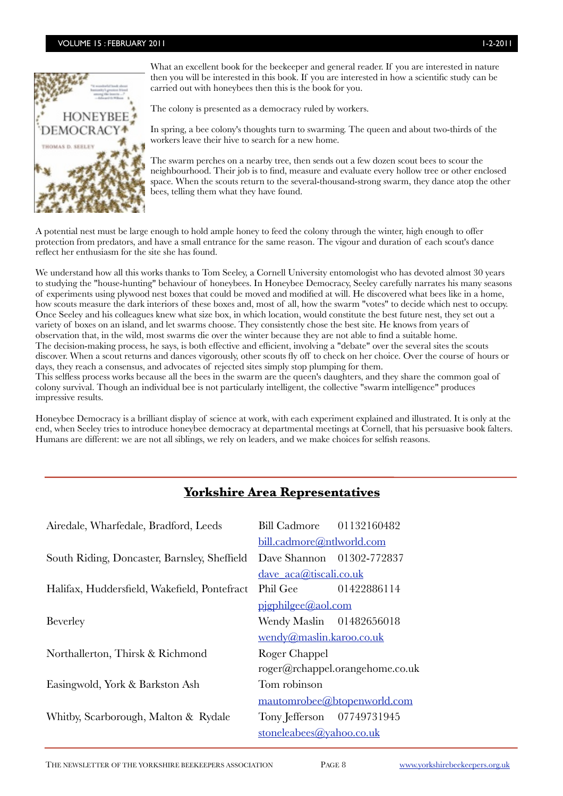#### VOLUME 15 : FEBRUARY 2011 1-2-2011



What an excellent book for the beekeeper and general reader. If you are interested in nature then you will be interested in this book. If you are interested in how a scientific study can be carried out with honeybees then this is the book for you.

The colony is presented as a democracy ruled by workers.

In spring, a bee colony's thoughts turn to swarming. The queen and about two-thirds of the workers leave their hive to search for a new home.

The swarm perches on a nearby tree, then sends out a few dozen scout bees to scour the neighbourhood. Their job is to find, measure and evaluate every hollow tree or other enclosed space. When the scouts return to the several-thousand-strong swarm, they dance atop the other bees, telling them what they have found.

A potential nest must be large enough to hold ample honey to feed the colony through the winter, high enough to offer protection from predators, and have a small entrance for the same reason. The vigour and duration of each scout's dance reflect her enthusiasm for the site she has found.

We understand how all this works thanks to Tom Seeley, a Cornell University entomologist who has devoted almost 30 years to studying the "house-hunting" behaviour of honeybees. In Honeybee Democracy, Seeley carefully narrates his many seasons of experiments using plywood nest boxes that could be moved and modified at will. He discovered what bees like in a home, how scouts measure the dark interiors of these boxes and, most of all, how the swarm "votes" to decide which nest to occupy. Once Seeley and his colleagues knew what size box, in which location, would constitute the best future nest, they set out a variety of boxes on an island, and let swarms choose. They consistently chose the best site. He knows from years of observation that, in the wild, most swarms die over the winter because they are not able to find a suitable home. The decision-making process, he says, is both effective and efficient, involving a "debate" over the several sites the scouts discover. When a scout returns and dances vigorously, other scouts fly off to check on her choice. Over the course of hours or days, they reach a consensus, and advocates of rejected sites simply stop plumping for them. This selfless process works because all the bees in the swarm are the queen's daughters, and they share the common goal of colony survival. Though an individual bee is not particularly intelligent, the collective "swarm intelligence" produces impressive results.

Honeybee Democracy is a brilliant display of science at work, with each experiment explained and illustrated. It is only at the end, when Seeley tries to introduce honeybee democracy at departmental meetings at Cornell, that his persuasive book falters. Humans are different: we are not all siblings, we rely on leaders, and we make choices for selfish reasons.

#### **Yorkshire Area Representatives**

| Airedale, Wharfedale, Bradford, Leeds        | Bill Cadmore 01132160482        |  |  |
|----------------------------------------------|---------------------------------|--|--|
|                                              | bill.cadmore@ntlworld.com       |  |  |
| South Riding, Doncaster, Barnsley, Sheffield | Dave Shannon 01302-772837       |  |  |
|                                              | dave_aca@tiscali.co.uk          |  |  |
| Halifax, Huddersfield, Wakefield, Pontefract | Phil Gee 01422886114            |  |  |
|                                              | pigphilgee@aol.com              |  |  |
| Beverley                                     | Wendy Maslin 01482656018        |  |  |
|                                              | wendy@maslin.karoo.co.uk        |  |  |
| Northallerton, Thirsk & Richmond             | Roger Chappel                   |  |  |
|                                              | roger@rchappel.orangehome.co.uk |  |  |
| Easingwold, York & Barkston Ash              | Tom robinson                    |  |  |
|                                              | mautomrobee@btopenworld.com     |  |  |
| Whitby, Scarborough, Malton & Rydale         | Tony Jefferson 07749731945      |  |  |
|                                              | stoneleabees@yahoo.co.uk        |  |  |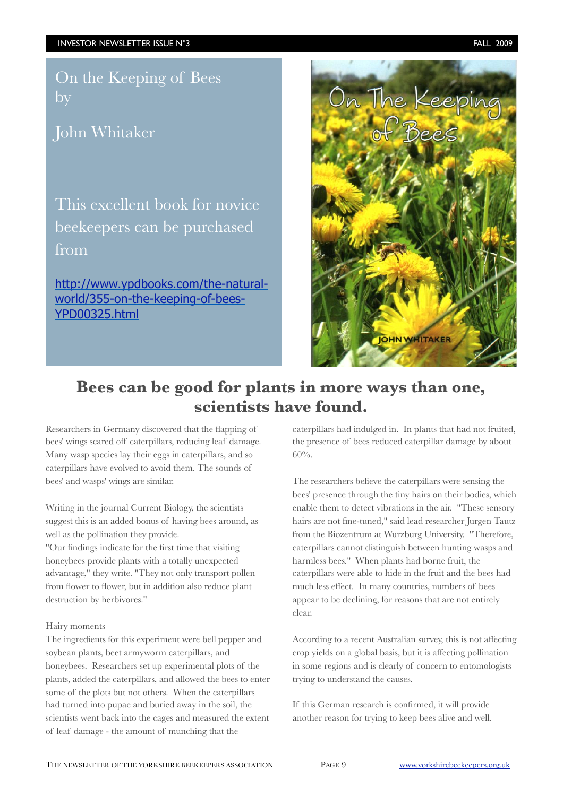John Whitaker

This excellent book for novice beekeepers can be purchased from

[http://www.ypdbooks.com/the-natural](http://www.ypdbooks.com/the-natural-world/355-on-the-keeping-of-bees-YPD00325.html)[world/355-on-the-keeping-of-bees-](http://www.ypdbooks.com/the-natural-world/355-on-the-keeping-of-bees-YPD00325.html)[YPD00325.html](http://www.ypdbooks.com/the-natural-world/355-on-the-keeping-of-bees-YPD00325.html)



#### **Bees can be good for plants in more ways than one, scientists have found.**

Researchers in Germany discovered that the flapping of bees' wings scared off caterpillars, reducing leaf damage. Many wasp species lay their eggs in caterpillars, and so caterpillars have evolved to avoid them. The sounds of bees' and wasps' wings are similar.

Writing in the journal Current Biology, the scientists suggest this is an added bonus of having bees around, as well as the pollination they provide.

"Our findings indicate for the first time that visiting honeybees provide plants with a totally unexpected advantage," they write. "They not only transport pollen from flower to flower, but in addition also reduce plant destruction by herbivores."

#### Hairy moments

The ingredients for this experiment were bell pepper and soybean plants, beet armyworm caterpillars, and honeybees. Researchers set up experimental plots of the plants, added the caterpillars, and allowed the bees to enter some of the plots but not others. When the caterpillars had turned into pupae and buried away in the soil, the scientists went back into the cages and measured the extent of leaf damage - the amount of munching that the

caterpillars had indulged in. In plants that had not fruited, the presence of bees reduced caterpillar damage by about 60%.

The researchers believe the caterpillars were sensing the bees' presence through the tiny hairs on their bodies, which enable them to detect vibrations in the air. "These sensory hairs are not fine-tuned," said lead researcher Jurgen Tautz from the Biozentrum at Wurzburg University. "Therefore, caterpillars cannot distinguish between hunting wasps and harmless bees." When plants had borne fruit, the caterpillars were able to hide in the fruit and the bees had much less effect. In many countries, numbers of bees appear to be declining, for reasons that are not entirely clear.

According to a recent Australian survey, this is not affecting crop yields on a global basis, but it is affecting pollination in some regions and is clearly of concern to entomologists trying to understand the causes.

If this German research is confirmed, it will provide another reason for trying to keep bees alive and well.